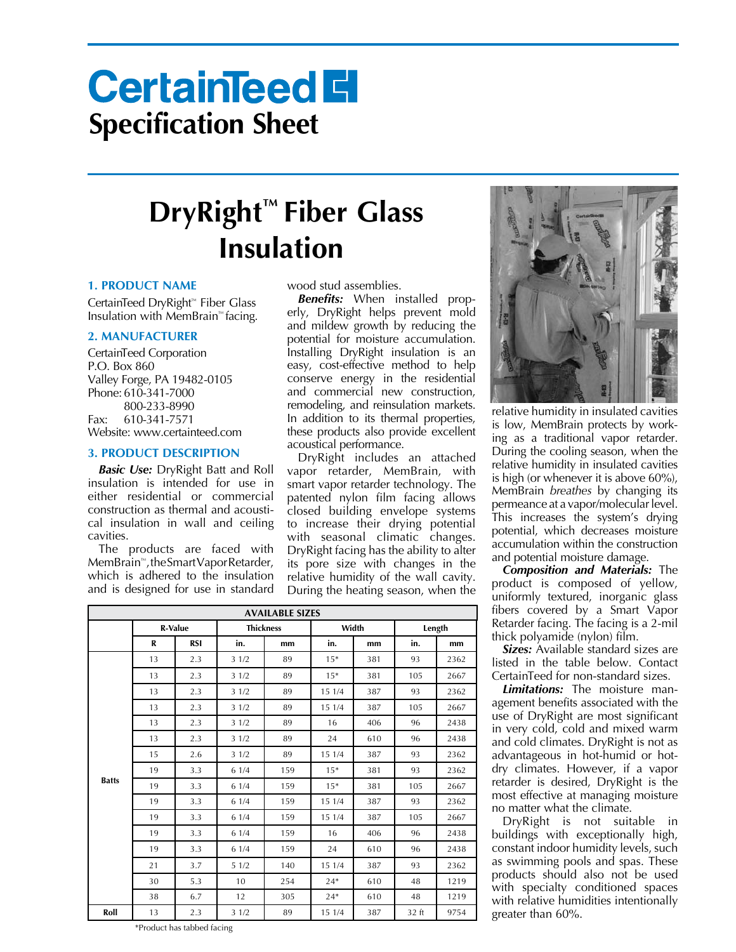# **CertainTeed El Specification Sheet**

## **Insulation DryRight™ Fiber Glass**

#### **1. PRODUCT NAME**

CertainTeed DryRight™ Fiber Glass Insulation with MemBrain™ facing.

#### **2. MANUFACTURER**

CertainTeed Corporation P.O. Box 860 Valley Forge, PA 19482-0105 Phone: 610-341-7000 800-233-8990 Fax: 610-341-7571 Website: www.certainteed.com

#### **3. PRODUCT DESCRIPTION**

**Basic Use:** DryRight Batt and Roll insulation is intended for use in either residential or commercial construction as thermal and acoustical insulation in wall and ceiling cavities.

The products are faced with MemBrain™, the Smart Vapor Retarder, which is adhered to the insulation and is designed for use in standard

wood stud assemblies.

*Benefits:* When installed properly, DryRight helps prevent mold and mildew growth by reducing the potential for moisture accumulation. Installing DryRight insulation is an easy, cost-effective method to help conserve energy in the residential and commercial new construction, remodeling, and reinsulation markets. In addition to its thermal properties, these products also provide excellent acoustical performance.

DryRight includes an attached vapor retarder, MemBrain, with smart vapor retarder technology. The patented nylon film facing allows closed building envelope systems to increase their drying potential with seasonal climatic changes. DryRight facing has the ability to alter its pore size with changes in the relative humidity of the wall cavity. During the heating season, when the

| <b>AVAILABLE SIZES</b> |                |            |                  |     |        |     |        |      |
|------------------------|----------------|------------|------------------|-----|--------|-----|--------|------|
|                        | <b>R-Value</b> |            | <b>Thickness</b> |     | Width  |     | Length |      |
|                        | R              | <b>RSI</b> | in.              | mm  | in.    | mm  | in.    | mm   |
| <b>Batts</b>           | 13             | 2.3        | 31/2             | 89  | $15*$  | 381 | 93     | 2362 |
|                        | 13             | 2.3        | 31/2             | 89  | $15*$  | 381 | 105    | 2667 |
|                        | 13             | 2.3        | 31/2             | 89  | 15 1/4 | 387 | 93     | 2362 |
|                        | 13             | 2.3        | 31/2             | 89  | 15 1/4 | 387 | 105    | 2667 |
|                        | 13             | 2.3        | 31/2             | 89  | 16     | 406 | 96     | 2438 |
|                        | 13             | 2.3        | 31/2             | 89  | 24     | 610 | 96     | 2438 |
|                        | 15             | 2.6        | 31/2             | 89  | 15 1/4 | 387 | 93     | 2362 |
|                        | 19             | 3.3        | 61/4             | 159 | $15*$  | 381 | 93     | 2362 |
|                        | 19             | 3.3        | 61/4             | 159 | $15*$  | 381 | 105    | 2667 |
|                        | 19             | 3.3        | 61/4             | 159 | 15 1/4 | 387 | 93     | 2362 |
|                        | 19             | 3.3        | 61/4             | 159 | 15 1/4 | 387 | 105    | 2667 |
|                        | 19             | 3.3        | 61/4             | 159 | 16     | 406 | 96     | 2438 |
|                        | 19             | 3.3        | 61/4             | 159 | 24     | 610 | 96     | 2438 |
|                        | 21             | 3.7        | 51/2             | 140 | 15 1/4 | 387 | 93     | 2362 |
|                        | 30             | 5.3        | 10               | 254 | $24*$  | 610 | 48     | 1219 |
|                        | 38             | 6.7        | 12               | 305 | $24*$  | 610 | 48     | 1219 |
| Roll                   | 13             | 2.3        | 31/2             | 89  | 15 1/4 | 387 | 32 ft  | 9754 |



relative humidity in insulated cavities is low, MemBrain protects by working as a traditional vapor retarder. During the cooling season, when the relative humidity in insulated cavities is high (or whenever it is above 60%), MemBrain *breathes* by changing its permeance at a vapor/molecular level. This increases the system's drying potential, which decreases moisture accumulation within the construction and potential moisture damage.

*Composition and Materials:* The product is composed of yellow, uniformly textured, inorganic glass fibers covered by a Smart Vapor Retarder facing. The facing is a 2-mil thick polyamide (nylon) film.

**Sizes:** Available standard sizes are listed in the table below. Contact CertainTeed for non-standard sizes.

*Limitations:* The moisture management benefits associated with the use of DryRight are most significant in very cold, cold and mixed warm and cold climates. DryRight is not as advantageous in hot-humid or hotdry climates. However, if a vapor retarder is desired, DryRight is the most effective at managing moisture no matter what the climate.

DryRight is not suitable in buildings with exceptionally high, constant indoor humidity levels, such as swimming pools and spas. These products should also not be used with specialty conditioned spaces with relative humidities intentionally greater than 60%.